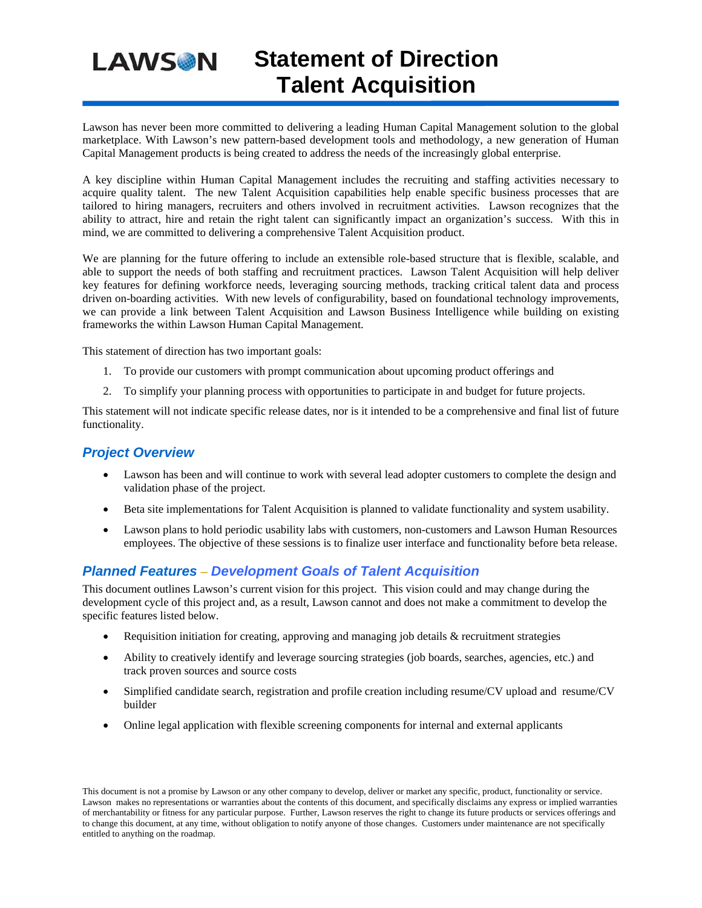## **Statement of Direction LAWSON Talent Acquisition**

Lawson has never been more committed to delivering a leading Human Capital Management solution to the global marketplace. With Lawson's new pattern-based development tools and methodology, a new generation of Human Capital Management products is being created to address the needs of the increasingly global enterprise.

A key discipline within Human Capital Management includes the recruiting and staffing activities necessary to acquire quality talent. The new Talent Acquisition capabilities help enable specific business processes that are tailored to hiring managers, recruiters and others involved in recruitment activities. Lawson recognizes that the ability to attract, hire and retain the right talent can significantly impact an organization's success. With this in mind, we are committed to delivering a comprehensive Talent Acquisition product.

We are planning for the future offering to include an extensible role-based structure that is flexible, scalable, and able to support the needs of both staffing and recruitment practices. Lawson Talent Acquisition will help deliver key features for defining workforce needs, leveraging sourcing methods, tracking critical talent data and process driven on-boarding activities. With new levels of configurability, based on foundational technology improvements, we can provide a link between Talent Acquisition and Lawson Business Intelligence while building on existing frameworks the within Lawson Human Capital Management.

This statement of direction has two important goals:

- 1. To provide our customers with prompt communication about upcoming product offerings and
- 2. To simplify your planning process with opportunities to participate in and budget for future projects.

This statement will not indicate specific release dates, nor is it intended to be a comprehensive and final list of future functionality.

## *Project Overview*

- Lawson has been and will continue to work with several lead adopter customers to complete the design and validation phase of the project.
- Beta site implementations for Talent Acquisition is planned to validate functionality and system usability.
- Lawson plans to hold periodic usability labs with customers, non-customers and Lawson Human Resources employees. The objective of these sessions is to finalize user interface and functionality before beta release.

## *Planned Features* – *Development Goals of Talent Acquisition*

This document outlines Lawson's current vision for this project. This vision could and may change during the development cycle of this project and, as a result, Lawson cannot and does not make a commitment to develop the specific features listed below.

- Requisition initiation for creating, approving and managing job details & recruitment strategies
- Ability to creatively identify and leverage sourcing strategies (job boards, searches, agencies, etc.) and track proven sources and source costs
- Simplified candidate search, registration and profile creation including resume/CV upload and resume/CV builder
- Online legal application with flexible screening components for internal and external applicants

This document is not a promise by Lawson or any other company to develop, deliver or market any specific, product, functionality or service. Lawson makes no representations or warranties about the contents of this document, and specifically disclaims any express or implied warranties of merchantability or fitness for any particular purpose. Further, Lawson reserves the right to change its future products or services offerings and to change this document, at any time, without obligation to notify anyone of those changes. Customers under maintenance are not specifically entitled to anything on the roadmap.